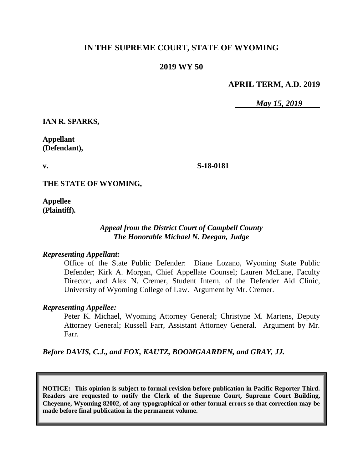# **IN THE SUPREME COURT, STATE OF WYOMING**

## **2019 WY 50**

#### **APRIL TERM, A.D. 2019**

*May 15, 2019*

**IAN R. SPARKS,**

**Appellant (Defendant),**

**v.**

**S-18-0181**

**THE STATE OF WYOMING,**

**Appellee (Plaintiff).**

## *Appeal from the District Court of Campbell County The Honorable Michael N. Deegan, Judge*

#### *Representing Appellant:*

Office of the State Public Defender: Diane Lozano, Wyoming State Public Defender; Kirk A. Morgan, Chief Appellate Counsel; Lauren McLane, Faculty Director, and Alex N. Cremer, Student Intern, of the Defender Aid Clinic, University of Wyoming College of Law. Argument by Mr. Cremer.

#### *Representing Appellee:*

Peter K. Michael, Wyoming Attorney General; Christyne M. Martens, Deputy Attorney General; Russell Farr, Assistant Attorney General. Argument by Mr. Farr.

*Before DAVIS, C.J., and FOX, KAUTZ, BOOMGAARDEN, and GRAY, JJ.*

**NOTICE: This opinion is subject to formal revision before publication in Pacific Reporter Third. Readers are requested to notify the Clerk of the Supreme Court, Supreme Court Building, Cheyenne, Wyoming 82002, of any typographical or other formal errors so that correction may be made before final publication in the permanent volume.**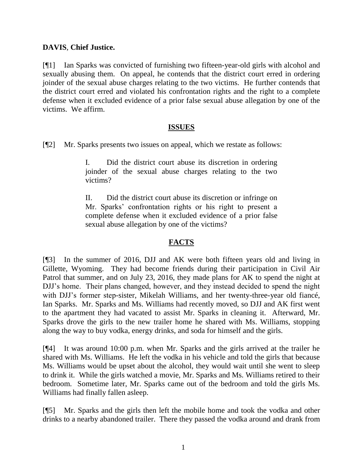## **DAVIS**, **Chief Justice.**

[¶1] Ian Sparks was convicted of furnishing two fifteen-year-old girls with alcohol and sexually abusing them. On appeal, he contends that the district court erred in ordering joinder of the sexual abuse charges relating to the two victims. He further contends that the district court erred and violated his confrontation rights and the right to a complete defense when it excluded evidence of a prior false sexual abuse allegation by one of the victims. We affirm.

#### **ISSUES**

[¶2] Mr. Sparks presents two issues on appeal, which we restate as follows:

I. Did the district court abuse its discretion in ordering joinder of the sexual abuse charges relating to the two victims?

II. Did the district court abuse its discretion or infringe on Mr. Sparks' confrontation rights or his right to present a complete defense when it excluded evidence of a prior false sexual abuse allegation by one of the victims?

#### **FACTS**

[¶3] In the summer of 2016, DJJ and AK were both fifteen years old and living in Gillette, Wyoming. They had become friends during their participation in Civil Air Patrol that summer, and on July 23, 2016, they made plans for AK to spend the night at DJJ's home. Their plans changed, however, and they instead decided to spend the night with DJJ's former step-sister, Mikelah Williams, and her twenty-three-year old fiancé, Ian Sparks. Mr. Sparks and Ms. Williams had recently moved, so DJJ and AK first went to the apartment they had vacated to assist Mr. Sparks in cleaning it. Afterward, Mr. Sparks drove the girls to the new trailer home he shared with Ms. Williams, stopping along the way to buy vodka, energy drinks, and soda for himself and the girls.

[¶4] It was around 10:00 p.m. when Mr. Sparks and the girls arrived at the trailer he shared with Ms. Williams. He left the vodka in his vehicle and told the girls that because Ms. Williams would be upset about the alcohol, they would wait until she went to sleep to drink it. While the girls watched a movie, Mr. Sparks and Ms. Williams retired to their bedroom. Sometime later, Mr. Sparks came out of the bedroom and told the girls Ms. Williams had finally fallen asleep.

[¶5] Mr. Sparks and the girls then left the mobile home and took the vodka and other drinks to a nearby abandoned trailer. There they passed the vodka around and drank from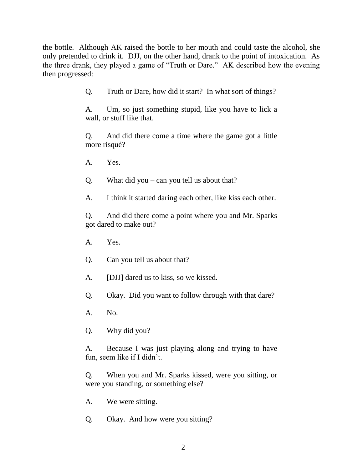the bottle. Although AK raised the bottle to her mouth and could taste the alcohol, she only pretended to drink it. DJJ, on the other hand, drank to the point of intoxication. As the three drank, they played a game of "Truth or Dare." AK described how the evening then progressed:

Q. Truth or Dare, how did it start? In what sort of things?

A. Um, so just something stupid, like you have to lick a wall, or stuff like that.

Q. And did there come a time where the game got a little more risqué?

A. Yes.

Q. What did you – can you tell us about that?

A. I think it started daring each other, like kiss each other.

Q. And did there come a point where you and Mr. Sparks got dared to make out?

- A. Yes.
- Q. Can you tell us about that?
- A. [DJJ] dared us to kiss, so we kissed.
- Q. Okay. Did you want to follow through with that dare?
- A. No.
- Q. Why did you?

A. Because I was just playing along and trying to have fun, seem like if I didn't.

Q. When you and Mr. Sparks kissed, were you sitting, or were you standing, or something else?

- A. We were sitting.
- Q. Okay. And how were you sitting?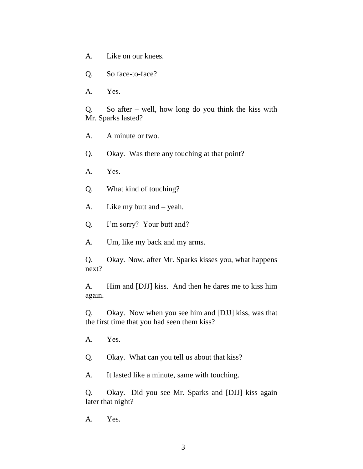- A. Like on our knees.
- Q. So face-to-face?
- A. Yes.

Q. So after – well, how long do you think the kiss with Mr. Sparks lasted?

- A. A minute or two.
- Q. Okay. Was there any touching at that point?
- A. Yes.
- Q. What kind of touching?
- A. Like my butt and yeah.
- Q. I'm sorry? Your butt and?
- A. Um, like my back and my arms.

Q. Okay. Now, after Mr. Sparks kisses you, what happens next?

A. Him and [DJJ] kiss. And then he dares me to kiss him again.

Q. Okay. Now when you see him and [DJJ] kiss, was that the first time that you had seen them kiss?

A. Yes.

Q. Okay. What can you tell us about that kiss?

A. It lasted like a minute, same with touching.

Q. Okay. Did you see Mr. Sparks and [DJJ] kiss again later that night?

A. Yes.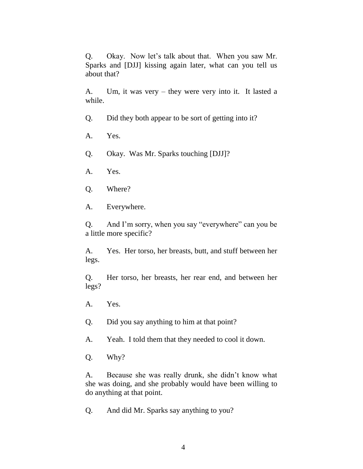Q. Okay. Now let's talk about that. When you saw Mr. Sparks and [DJJ] kissing again later, what can you tell us about that?

A. Um, it was very – they were very into it. It lasted a while.

- Q. Did they both appear to be sort of getting into it?
- A. Yes.
- Q. Okay. Was Mr. Sparks touching [DJJ]?
- A. Yes.
- Q. Where?
- A. Everywhere.

Q. And I'm sorry, when you say "everywhere" can you be a little more specific?

A. Yes. Her torso, her breasts, butt, and stuff between her legs.

Q. Her torso, her breasts, her rear end, and between her legs?

- A. Yes.
- Q. Did you say anything to him at that point?
- A. Yeah. I told them that they needed to cool it down.
- Q. Why?

A. Because she was really drunk, she didn't know what she was doing, and she probably would have been willing to do anything at that point.

Q. And did Mr. Sparks say anything to you?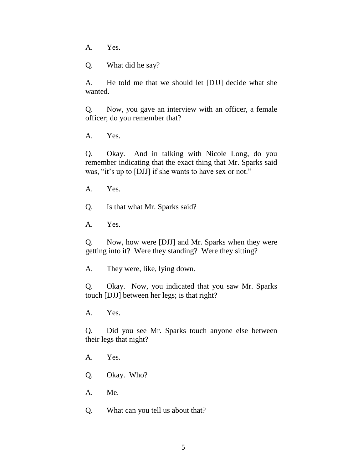A. Yes.

Q. What did he say?

A. He told me that we should let [DJJ] decide what she wanted.

Q. Now, you gave an interview with an officer, a female officer; do you remember that?

A. Yes.

Q. Okay. And in talking with Nicole Long, do you remember indicating that the exact thing that Mr. Sparks said was, "it's up to [DJJ] if she wants to have sex or not."

A. Yes.

Q. Is that what Mr. Sparks said?

A. Yes.

Q. Now, how were [DJJ] and Mr. Sparks when they were getting into it? Were they standing? Were they sitting?

A. They were, like, lying down.

Q. Okay. Now, you indicated that you saw Mr. Sparks touch [DJJ] between her legs; is that right?

A. Yes.

Q. Did you see Mr. Sparks touch anyone else between their legs that night?

A. Yes.

Q. Okay. Who?

A. Me.

Q. What can you tell us about that?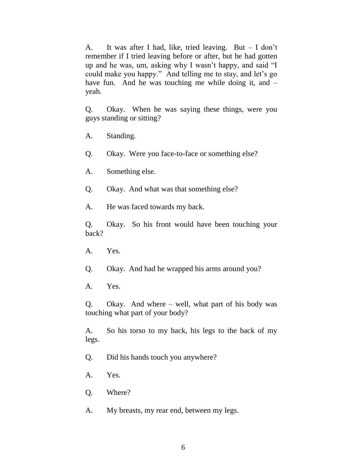A. It was after I had, like, tried leaving. But – I don't remember if I tried leaving before or after, but he had gotten up and he was, um, asking why I wasn't happy, and said "I could make you happy." And telling me to stay, and let's go have fun. And he was touching me while doing it, and – yeah.

Q. Okay. When he was saying these things, were you guys standing or sitting?

- A. Standing.
- Q. Okay. Were you face-to-face or something else?
- A. Something else.
- Q. Okay. And what was that something else?
- A. He was faced towards my back.

Q. Okay. So his front would have been touching your back?

- A. Yes.
- Q. Okay. And had he wrapped his arms around you?
- A. Yes.

Q. Okay. And where – well, what part of his body was touching what part of your body?

A. So his torso to my back, his legs to the back of my legs.

- Q. Did his hands touch you anywhere?
- A. Yes.
- Q. Where?
- A. My breasts, my rear end, between my legs.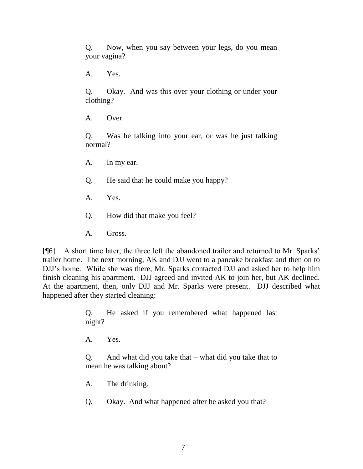Q. Now, when you say between your legs, do you mean your vagina?

A. Yes.

Q. Okay. And was this over your clothing or under your clothing?

A. Over.

Q. Was he talking into your ear, or was he just talking normal?

- A. In my ear.
- Q. He said that he could make you happy?
- A. Yes.
- Q. How did that make you feel?
- A. Gross.

[¶6] A short time later, the three left the abandoned trailer and returned to Mr. Sparks' trailer home. The next morning, AK and DJJ went to a pancake breakfast and then on to DJJ's home. While she was there, Mr. Sparks contacted DJJ and asked her to help him finish cleaning his apartment. DJJ agreed and invited AK to join her, but AK declined. At the apartment, then, only DJJ and Mr. Sparks were present. DJJ described what happened after they started cleaning:

> Q. He asked if you remembered what happened last night?

A. Yes.

Q. And what did you take that – what did you take that to mean he was talking about?

A. The drinking.

Q. Okay. And what happened after he asked you that?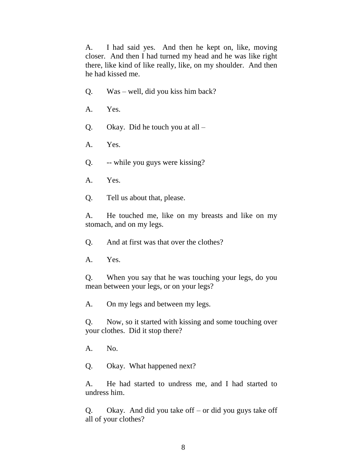A. I had said yes. And then he kept on, like, moving closer. And then I had turned my head and he was like right there, like kind of like really, like, on my shoulder. And then he had kissed me.

- Q. Was well, did you kiss him back?
- A. Yes.
- Q. Okay. Did he touch you at all –
- A. Yes.
- Q. -- while you guys were kissing?
- A. Yes.
- Q. Tell us about that, please.

A. He touched me, like on my breasts and like on my stomach, and on my legs.

Q. And at first was that over the clothes?

A. Yes.

Q. When you say that he was touching your legs, do you mean between your legs, or on your legs?

A. On my legs and between my legs.

Q. Now, so it started with kissing and some touching over your clothes. Did it stop there?

A. No.

Q. Okay. What happened next?

A. He had started to undress me, and I had started to undress him.

Q. Okay. And did you take off – or did you guys take off all of your clothes?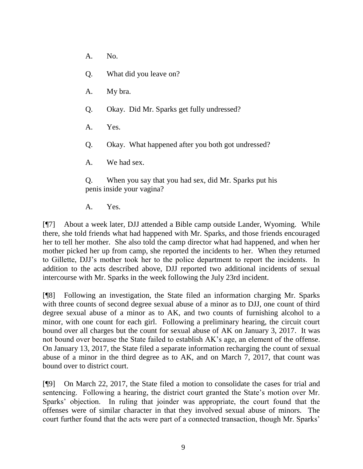- A. No.
- Q. What did you leave on?
- A. My bra.
- Q. Okay. Did Mr. Sparks get fully undressed?
- A. Yes.
- Q. Okay. What happened after you both got undressed?
- A. We had sex.

Q. When you say that you had sex, did Mr. Sparks put his penis inside your vagina?

A. Yes.

[¶7] About a week later, DJJ attended a Bible camp outside Lander, Wyoming. While there, she told friends what had happened with Mr. Sparks, and those friends encouraged her to tell her mother. She also told the camp director what had happened, and when her mother picked her up from camp, she reported the incidents to her. When they returned to Gillette, DJJ's mother took her to the police department to report the incidents. In addition to the acts described above, DJJ reported two additional incidents of sexual intercourse with Mr. Sparks in the week following the July 23rd incident.

[¶8] Following an investigation, the State filed an information charging Mr. Sparks with three counts of second degree sexual abuse of a minor as to DJJ, one count of third degree sexual abuse of a minor as to AK, and two counts of furnishing alcohol to a minor, with one count for each girl. Following a preliminary hearing, the circuit court bound over all charges but the count for sexual abuse of AK on January 3, 2017. It was not bound over because the State failed to establish AK's age, an element of the offense. On January 13, 2017, the State filed a separate information recharging the count of sexual abuse of a minor in the third degree as to AK, and on March 7, 2017, that count was bound over to district court.

[¶9] On March 22, 2017, the State filed a motion to consolidate the cases for trial and sentencing. Following a hearing, the district court granted the State's motion over Mr. Sparks' objection. In ruling that joinder was appropriate, the court found that the offenses were of similar character in that they involved sexual abuse of minors. The court further found that the acts were part of a connected transaction, though Mr. Sparks'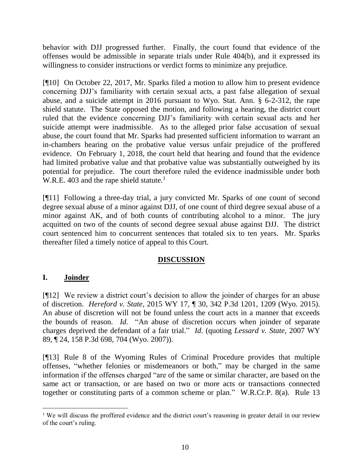behavior with DJJ progressed further. Finally, the court found that evidence of the offenses would be admissible in separate trials under Rule 404(b), and it expressed its willingness to consider instructions or verdict forms to minimize any prejudice.

[¶10] On October 22, 2017, Mr. Sparks filed a motion to allow him to present evidence concerning DJJ's familiarity with certain sexual acts, a past false allegation of sexual abuse, and a suicide attempt in 2016 pursuant to Wyo. Stat. Ann. § 6-2-312, the rape shield statute. The State opposed the motion, and following a hearing, the district court ruled that the evidence concerning DJJ's familiarity with certain sexual acts and her suicide attempt were inadmissible. As to the alleged prior false accusation of sexual abuse, the court found that Mr. Sparks had presented sufficient information to warrant an in-chambers hearing on the probative value versus unfair prejudice of the proffered evidence. On February 1, 2018, the court held that hearing and found that the evidence had limited probative value and that probative value was substantially outweighed by its potential for prejudice. The court therefore ruled the evidence inadmissible under both W.R.E. 403 and the rape shield statute.<sup>1</sup>

[¶11] Following a three-day trial, a jury convicted Mr. Sparks of one count of second degree sexual abuse of a minor against DJJ, of one count of third degree sexual abuse of a minor against AK, and of both counts of contributing alcohol to a minor. The jury acquitted on two of the counts of second degree sexual abuse against DJJ. The district court sentenced him to concurrent sentences that totaled six to ten years. Mr. Sparks thereafter filed a timely notice of appeal to this Court.

## **DISCUSSION**

# **I. Joinder**

[¶12] We review a district court's decision to allow the joinder of charges for an abuse of discretion. *Hereford v. State*, 2015 WY 17, ¶ 30, 342 P.3d 1201, 1209 (Wyo. 2015). An abuse of discretion will not be found unless the court acts in a manner that exceeds the bounds of reason. *Id*. "An abuse of discretion occurs when joinder of separate charges deprived the defendant of a fair trial." *Id*. (quoting *[Lessard v. State](http://www.westlaw.com/Link/Document/FullText?findType=Y&serNum=2012321845&pubNum=0004645&originatingDoc=Ibd1c695aaca311e490d4edf60ce7d742&refType=RP&fi=co_pp_sp_4645_704&originationContext=document&vr=3.0&rs=cblt1.0&transitionType=DocumentItem&contextData=(sc.Keycite)#co_pp_sp_4645_704)*, 2007 WY [89, ¶ 24, 158 P.3d 698, 704 \(Wyo.](http://www.westlaw.com/Link/Document/FullText?findType=Y&serNum=2012321845&pubNum=0004645&originatingDoc=Ibd1c695aaca311e490d4edf60ce7d742&refType=RP&fi=co_pp_sp_4645_704&originationContext=document&vr=3.0&rs=cblt1.0&transitionType=DocumentItem&contextData=(sc.Keycite)#co_pp_sp_4645_704) 2007)).

[¶13] Rule 8 of the Wyoming Rules of Criminal Procedure provides that multiple offenses, "whether felonies or misdemeanors or both," may be charged in the same information if the offenses charged "are of the same or similar character, are based on the same act or transaction, or are based on two or more acts or transactions connected together or constituting parts of a common scheme or plan." W.R.Cr.P. 8(a). Rule 13

l <sup>1</sup> We will discuss the proffered evidence and the district court's reasoning in greater detail in our review of the court's ruling.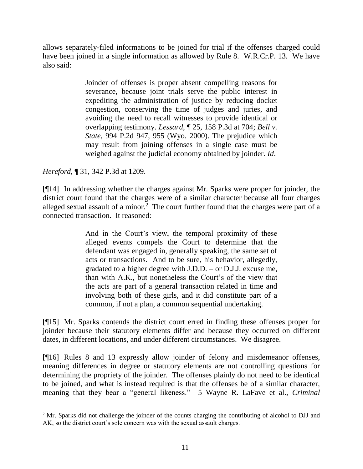allows separately-filed informations to be joined for trial if the offenses charged could have been joined in a single information as allowed by Rule 8. W.R.Cr.P. 13. We have also said:

> Joinder of offenses is proper absent compelling reasons for severance, because joint trials serve the public interest in expediting the administration of justice by reducing docket congestion, conserving the time of judges and juries, and avoiding the need to recall witnesses to provide identical or overlapping testimony. *Lessard*[, ¶ 25, 158 P.3d at 704;](http://www.westlaw.com/Link/Document/FullText?findType=Y&serNum=2012321845&pubNum=0004645&originatingDoc=Ibd1c695aaca311e490d4edf60ce7d742&refType=RP&fi=co_pp_sp_4645_704&originationContext=document&vr=3.0&rs=cblt1.0&transitionType=DocumentItem&contextData=(sc.Keycite)#co_pp_sp_4645_704) *[Bell v.](http://www.westlaw.com/Link/Document/FullText?findType=Y&serNum=2000030845&pubNum=0000661&originatingDoc=Ibd1c695aaca311e490d4edf60ce7d742&refType=RP&fi=co_pp_sp_661_955&originationContext=document&vr=3.0&rs=cblt1.0&transitionType=DocumentItem&contextData=(sc.Keycite)#co_pp_sp_661_955)  State*[, 994 P.2d 947, 955 \(Wyo.](http://www.westlaw.com/Link/Document/FullText?findType=Y&serNum=2000030845&pubNum=0000661&originatingDoc=Ibd1c695aaca311e490d4edf60ce7d742&refType=RP&fi=co_pp_sp_661_955&originationContext=document&vr=3.0&rs=cblt1.0&transitionType=DocumentItem&contextData=(sc.Keycite)#co_pp_sp_661_955) 2000). The prejudice which may result from joining offenses in a single case must be weighed against the judicial economy obtained by joinder. *Id*.

*Hereford*, ¶ 31, 342 P.3d at 1209.

l

[¶14] In addressing whether the charges against Mr. Sparks were proper for joinder, the district court found that the charges were of a similar character because all four charges alleged sexual assault of a minor.<sup>2</sup> The court further found that the charges were part of a connected transaction. It reasoned:

> And in the Court's view, the temporal proximity of these alleged events compels the Court to determine that the defendant was engaged in, generally speaking, the same set of acts or transactions. And to be sure, his behavior, allegedly, gradated to a higher degree with J.D.D. – or D.J.J. excuse me, than with A.K., but nonetheless the Court's of the view that the acts are part of a general transaction related in time and involving both of these girls, and it did constitute part of a common, if not a plan, a common sequential undertaking.

[¶15] Mr. Sparks contends the district court erred in finding these offenses proper for joinder because their statutory elements differ and because they occurred on different dates, in different locations, and under different circumstances. We disagree.

[¶16] Rules 8 and 13 expressly allow joinder of felony and misdemeanor offenses, meaning differences in degree or statutory elements are not controlling questions for determining the propriety of the joinder. The offenses plainly do not need to be identical to be joined, and what is instead required is that the offenses be of a similar character, meaning that they bear a "general likeness." 5 Wayne R. LaFave et al., *Criminal* 

<sup>&</sup>lt;sup>2</sup> Mr. Sparks did not challenge the joinder of the counts charging the contributing of alcohol to DJJ and AK, so the district court's sole concern was with the sexual assault charges.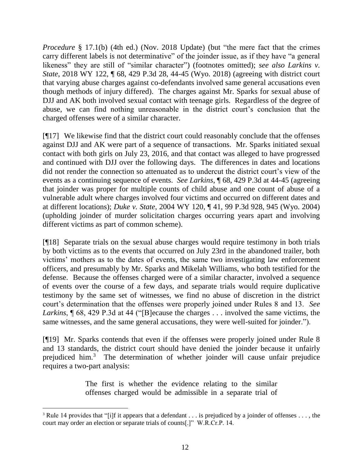*Procedure* § 17.1(b) (4th ed.) (Nov. 2018 Update) (but "the mere fact that the crimes carry different labels is not determinative" of the joinder issue, as if they have "a general likeness" they are still of "similar character") (footnotes omitted); *see also Larkins v. State*, 2018 WY 122, 1 68, 429 P.3d 28, 44-45 (Wyo. 2018) (agreeing with district court that varying abuse charges against co-defendants involved same general accusations even though methods of injury differed). The charges against Mr. Sparks for sexual abuse of DJJ and AK both involved sexual contact with teenage girls. Regardless of the degree of abuse, we can find nothing unreasonable in the district court's conclusion that the charged offenses were of a similar character.

[¶17] We likewise find that the district court could reasonably conclude that the offenses against DJJ and AK were part of a sequence of transactions. Mr. Sparks initiated sexual contact with both girls on July 23, 2016, and that contact was alleged to have progressed and continued with DJJ over the following days. The differences in dates and locations did not render the connection so attenuated as to undercut the district court's view of the events as a continuing sequence of events. *See Larkins*, ¶ 68, 429 P.3d at 44-45 (agreeing that joinder was proper for multiple counts of child abuse and one count of abuse of a vulnerable adult where charges involved four victims and occurred on different dates and at different locations); *Duke v. State*, 2004 WY 120, ¶ 41, 99 P.3d 928, 945 (Wyo. 2004) (upholding joinder of murder solicitation charges occurring years apart and involving different victims as part of common scheme).

[¶18] Separate trials on the sexual abuse charges would require testimony in both trials by both victims as to the events that occurred on July 23rd in the abandoned trailer, both victims' mothers as to the dates of events, the same two investigating law enforcement officers, and presumably by Mr. Sparks and Mikelah Williams, who both testified for the defense. Because the offenses charged were of a similar character, involved a sequence of events over the course of a few days, and separate trials would require duplicative testimony by the same set of witnesses, we find no abuse of discretion in the district court's determination that the offenses were properly joined under Rules 8 and 13. *See Larkins*, ¶ 68, 429 P.3d at 44 ("[B]ecause the charges . . . involved the same victims, the same witnesses, and the same general accusations, they were well-suited for joinder.").

[¶19] Mr. Sparks contends that even if the offenses were properly joined under Rule 8 and 13 standards, the district court should have denied the joinder because it unfairly prejudiced him.<sup>3</sup> The determination of whether joinder will cause unfair prejudice requires a two-part analysis:

> The first is whether the evidence relating to the similar offenses charged would be admissible in a separate trial of

l

<sup>&</sup>lt;sup>3</sup> Rule 14 provides that "[i]f it appears that a defendant . . . is prejudiced by a joinder of offenses . . . , the court may order an election or separate trials of counts[.]" W.R.Cr.P. 14.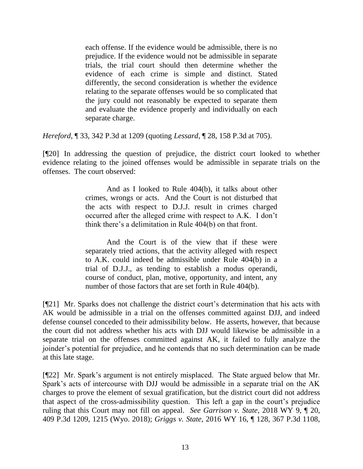each offense. If the evidence would be admissible, there is no prejudice. If the evidence would not be admissible in separate trials, the trial court should then determine whether the evidence of each crime is simple and distinct. Stated differently, the second consideration is whether the evidence relating to the separate offenses would be so complicated that the jury could not reasonably be expected to separate them and evaluate the evidence properly and individually on each separate charge.

*Hereford*, ¶ 33, 342 P.3d at 1209 (quoting *Lessard*[, ¶ 28, 158 P.3d at 705\)](http://www.westlaw.com/Link/Document/FullText?findType=Y&serNum=2012321845&pubNum=0004645&originatingDoc=Ibd1c695aaca311e490d4edf60ce7d742&refType=RP&fi=co_pp_sp_4645_705&originationContext=document&vr=3.0&rs=cblt1.0&transitionType=DocumentItem&contextData=(sc.Keycite)#co_pp_sp_4645_705).

[¶20] In addressing the question of prejudice, the district court looked to whether evidence relating to the joined offenses would be admissible in separate trials on the offenses. The court observed:

> And as I looked to Rule 404(b), it talks about other crimes, wrongs or acts. And the Court is not disturbed that the acts with respect to D.J.J. result in crimes charged occurred after the alleged crime with respect to A.K. I don't think there's a delimitation in Rule 404(b) on that front.

> And the Court is of the view that if these were separately tried actions, that the activity alleged with respect to A.K. could indeed be admissible under Rule 404(b) in a trial of D.J.J., as tending to establish a modus operandi, course of conduct, plan, motive, opportunity, and intent, any number of those factors that are set forth in Rule 404(b).

[¶21] Mr. Sparks does not challenge the district court's determination that his acts with AK would be admissible in a trial on the offenses committed against DJJ, and indeed defense counsel conceded to their admissibility below. He asserts, however, that because the court did not address whether his acts with DJJ would likewise be admissible in a separate trial on the offenses committed against AK, it failed to fully analyze the joinder's potential for prejudice, and he contends that no such determination can be made at this late stage.

[¶22] Mr. Spark's argument is not entirely misplaced. The State argued below that Mr. Spark's acts of intercourse with DJJ would be admissible in a separate trial on the AK charges to prove the element of sexual gratification, but the district court did not address that aspect of the cross-admissibility question. This left a gap in the court's prejudice ruling that this Court may not fill on appeal. *See Garrison v. State*, 2018 WY 9, ¶ 20, 409 P.3d 1209, 1215 (Wyo. 2018); *Griggs v. State*[, 2016 WY 16, ¶ 128, 367 P.3d 1108,](http://www.westlaw.com/Link/Document/FullText?findType=Y&serNum=2038208755&pubNum=0004645&originatingDoc=Ic63ece100d1111e8a964c4b0adba4447&refType=RP&fi=co_pp_sp_4645_1143&originationContext=document&vr=3.0&rs=cblt1.0&transitionType=DocumentItem&contextData=(sc.Keycite)#co_pp_sp_4645_1143)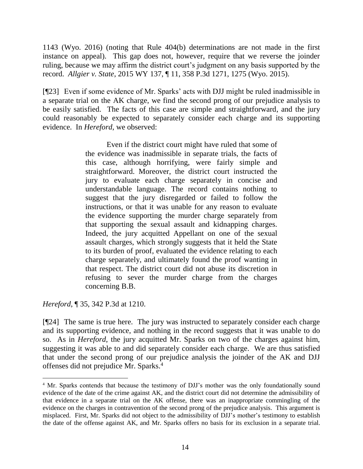[1143 \(Wyo. 2016\)](http://www.westlaw.com/Link/Document/FullText?findType=Y&serNum=2038208755&pubNum=0004645&originatingDoc=Ic63ece100d1111e8a964c4b0adba4447&refType=RP&fi=co_pp_sp_4645_1143&originationContext=document&vr=3.0&rs=cblt1.0&transitionType=DocumentItem&contextData=(sc.Keycite)#co_pp_sp_4645_1143) (noting that Rule 404(b) determinations are not made in the first instance on appeal). This gap does not, however, require that we reverse the joinder ruling, because we may affirm the district court's judgment on any basis supported by the record. *Allgier v. State*, 2015 WY 137, ¶ 11, 358 P.3d 1271, 1275 (Wyo. 2015).

[¶23] Even if some evidence of Mr. Sparks' acts with DJJ might be ruled inadmissible in a separate trial on the AK charge, we find the second prong of our prejudice analysis to be easily satisfied. The facts of this case are simple and straightforward, and the jury could reasonably be expected to separately consider each charge and its supporting evidence. In *Hereford*, we observed:

> Even if the district court might have ruled that some of the evidence was inadmissible in separate trials, the facts of this case, although horrifying, were fairly simple and straightforward. Moreover, the district court instructed the jury to evaluate each charge separately in concise and understandable language. The record contains nothing to suggest that the jury disregarded or failed to follow the instructions, or that it was unable for any reason to evaluate the evidence supporting the murder charge separately from that supporting the sexual assault and kidnapping charges. Indeed, the jury acquitted Appellant on one of the sexual assault charges, which strongly suggests that it held the State to its burden of proof, evaluated the evidence relating to each charge separately, and ultimately found the proof wanting in that respect. The district court did not abuse its discretion in refusing to sever the murder charge from the charges concerning B.B.

*Hereford*, ¶ 35, 342 P.3d at 1210.

 $\overline{a}$ 

[¶24] The same is true here. The jury was instructed to separately consider each charge and its supporting evidence, and nothing in the record suggests that it was unable to do so. As in *Hereford*, the jury acquitted Mr. Sparks on two of the charges against him, suggesting it was able to and did separately consider each charge. We are thus satisfied that under the second prong of our prejudice analysis the joinder of the AK and DJJ offenses did not prejudice Mr. Sparks.<sup>4</sup>

<sup>4</sup> Mr. Sparks contends that because the testimony of DJJ's mother was the only foundationally sound evidence of the date of the crime against AK, and the district court did not determine the admissibility of that evidence in a separate trial on the AK offense, there was an inappropriate commingling of the evidence on the charges in contravention of the second prong of the prejudice analysis. This argument is misplaced. First, Mr. Sparks did not object to the admissibility of DJJ's mother's testimony to establish the date of the offense against AK, and Mr. Sparks offers no basis for its exclusion in a separate trial.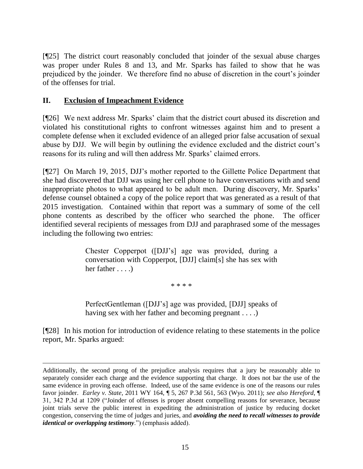[¶25] The district court reasonably concluded that joinder of the sexual abuse charges was proper under Rules 8 and 13, and Mr. Sparks has failed to show that he was prejudiced by the joinder. We therefore find no abuse of discretion in the court's joinder of the offenses for trial.

# **II. Exclusion of Impeachment Evidence**

[¶26] We next address Mr. Sparks' claim that the district court abused its discretion and violated his constitutional rights to confront witnesses against him and to present a complete defense when it excluded evidence of an alleged prior false accusation of sexual abuse by DJJ. We will begin by outlining the evidence excluded and the district court's reasons for its ruling and will then address Mr. Sparks' claimed errors.

[¶27] On March 19, 2015, DJJ's mother reported to the Gillette Police Department that she had discovered that DJJ was using her cell phone to have conversations with and send inappropriate photos to what appeared to be adult men. During discovery, Mr. Sparks' defense counsel obtained a copy of the police report that was generated as a result of that 2015 investigation. Contained within that report was a summary of some of the cell phone contents as described by the officer who searched the phone. The officer identified several recipients of messages from DJJ and paraphrased some of the messages including the following two entries:

> Chester Copperpot ([DJJ's] age was provided, during a conversation with Copperpot, [DJJ] claim[s] she has sex with her father . . . .)

> > \* \* \* \*

PerfectGentleman ([DJJ's] age was provided, [DJJ] speaks of having sex with her father and becoming pregnant . . . .)

[¶28] In his motion for introduction of evidence relating to these statements in the police report, Mr. Sparks argued:

Additionally, the second prong of the prejudice analysis requires that a jury be reasonably able to separately consider each charge and the evidence supporting that charge. It does not bar the use of the same evidence in proving each offense. Indeed, use of the same evidence is one of the reasons our rules favor joinder. *Earley v. State*, 2011 WY 164, ¶ 5, 267 P.3d 561, 563 (Wyo. 2011); *see also Hereford*, ¶ 31, 342 P.3d at 1209 ("Joinder of offenses is proper absent compelling reasons for severance, because joint trials serve the public interest in expediting the administration of justice by reducing docket congestion, conserving the time of judges and juries, and *avoiding the need to recall witnesses to provide identical or overlapping testimony*.") (emphasis added).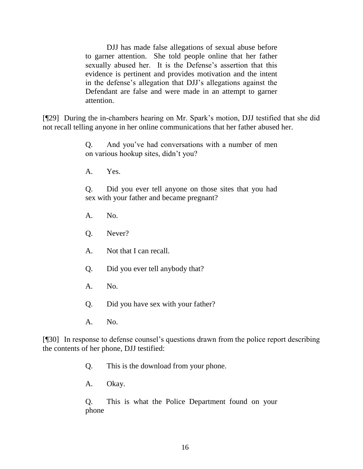DJJ has made false allegations of sexual abuse before to garner attention. She told people online that her father sexually abused her. It is the Defense's assertion that this evidence is pertinent and provides motivation and the intent in the defense's allegation that DJJ's allegations against the Defendant are false and were made in an attempt to garner attention.

[¶29] During the in-chambers hearing on Mr. Spark's motion, DJJ testified that she did not recall telling anyone in her online communications that her father abused her.

> Q. And you've had conversations with a number of men on various hookup sites, didn't you?

A. Yes.

Q. Did you ever tell anyone on those sites that you had sex with your father and became pregnant?

- A. No.
- Q. Never?
- A. Not that I can recall.
- Q. Did you ever tell anybody that?
- A. No.
- Q. Did you have sex with your father?
- A. No.

[¶30] In response to defense counsel's questions drawn from the police report describing the contents of her phone, DJJ testified:

- Q. This is the download from your phone.
- A. Okay.

Q. This is what the Police Department found on your phone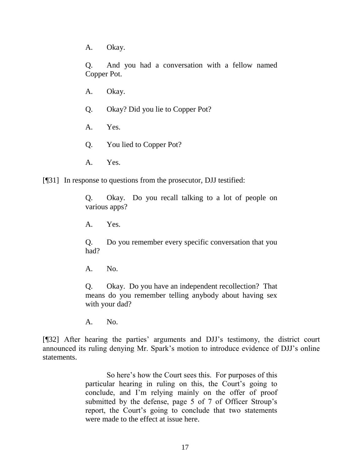A. Okay.

Q. And you had a conversation with a fellow named Copper Pot.

- A. Okay.
- Q. Okay? Did you lie to Copper Pot?
- A. Yes.
- Q. You lied to Copper Pot?
- A. Yes.

[¶31] In response to questions from the prosecutor, DJJ testified:

Q. Okay. Do you recall talking to a lot of people on various apps?

A. Yes.

Q. Do you remember every specific conversation that you had?

A. No.

Q. Okay. Do you have an independent recollection? That means do you remember telling anybody about having sex with your dad?

A. No.

[¶32] After hearing the parties' arguments and DJJ's testimony, the district court announced its ruling denying Mr. Spark's motion to introduce evidence of DJJ's online statements.

> So here's how the Court sees this. For purposes of this particular hearing in ruling on this, the Court's going to conclude, and I'm relying mainly on the offer of proof submitted by the defense, page 5 of 7 of Officer Stroup's report, the Court's going to conclude that two statements were made to the effect at issue here.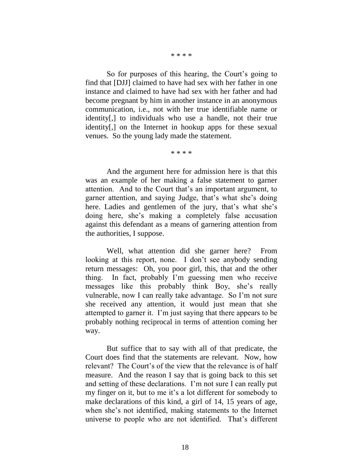#### \* \* \* \*

So for purposes of this hearing, the Court's going to find that [DJJ] claimed to have had sex with her father in one instance and claimed to have had sex with her father and had become pregnant by him in another instance in an anonymous communication, i.e., not with her true identifiable name or identity[,] to individuals who use a handle, not their true identity[,] on the Internet in hookup apps for these sexual venues. So the young lady made the statement.

\* \* \* \*

And the argument here for admission here is that this was an example of her making a false statement to garner attention. And to the Court that's an important argument, to garner attention, and saying Judge, that's what she's doing here. Ladies and gentlemen of the jury, that's what she's doing here, she's making a completely false accusation against this defendant as a means of garnering attention from the authorities, I suppose.

Well, what attention did she garner here? From looking at this report, none. I don't see anybody sending return messages: Oh, you poor girl, this, that and the other thing. In fact, probably I'm guessing men who receive messages like this probably think Boy, she's really vulnerable, now I can really take advantage. So I'm not sure she received any attention, it would just mean that she attempted to garner it. I'm just saying that there appears to be probably nothing reciprocal in terms of attention coming her way.

But suffice that to say with all of that predicate, the Court does find that the statements are relevant. Now, how relevant? The Court's of the view that the relevance is of half measure. And the reason I say that is going back to this set and setting of these declarations. I'm not sure I can really put my finger on it, but to me it's a lot different for somebody to make declarations of this kind, a girl of 14, 15 years of age, when she's not identified, making statements to the Internet universe to people who are not identified. That's different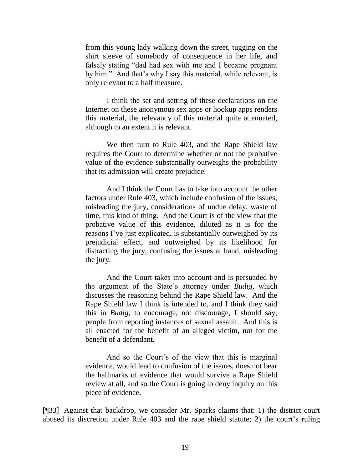from this young lady walking down the street, tugging on the shirt sleeve of somebody of consequence in her life, and falsely stating "dad had sex with me and I became pregnant by him." And that's why I say this material, while relevant, is only relevant to a half measure.

I think the set and setting of these declarations on the Internet on these anonymous sex apps or hookup apps renders this material, the relevancy of this material quite attenuated, although to an extent it is relevant.

We then turn to Rule 403, and the Rape Shield law requires the Court to determine whether or not the probative value of the evidence substantially outweighs the probability that its admission will create prejudice.

And I think the Court has to take into account the other factors under Rule 403, which include confusion of the issues, misleading the jury, considerations of undue delay, waste of time, this kind of thing. And the Court is of the view that the probative value of this evidence, diluted as it is for the reasons I've just explicated, is substantially outweighed by its prejudicial effect, and outweighed by its likelihood for distracting the jury, confusing the issues at hand, misleading the jury.

And the Court takes into account and is persuaded by the argument of the State's attorney under *Budig*, which discusses the reasoning behind the Rape Shield law. And the Rape Shield law I think is intended to, and I think they said this in *Budig*, to encourage, not discourage, I should say, people from reporting instances of sexual assault. And this is all enacted for the benefit of an alleged victim, not for the benefit of a defendant.

And so the Court's of the view that this is marginal evidence, would lead to confusion of the issues, does not bear the hallmarks of evidence that would survive a Rape Shield review at all, and so the Court is going to deny inquiry on this piece of evidence.

[¶33] Against that backdrop, we consider Mr. Sparks claims that: 1) the district court abused its discretion under Rule 403 and the rape shield statute; 2) the court's ruling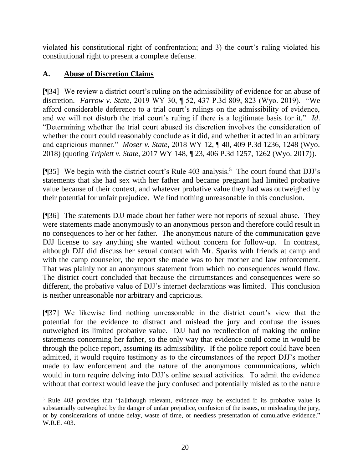violated his constitutional right of confrontation; and 3) the court's ruling violated his constitutional right to present a complete defense.

# **A. Abuse of Discretion Claims**

[¶34] We review a district court's ruling on the admissibility of evidence for an abuse of discretion. *Farrow v. State*, 2019 WY 30, ¶ 52, 437 P.3d 809, 823 (Wyo. 2019). "We afford considerable deference to a trial court's rulings on the admissibility of evidence, and we will not disturb the trial court's ruling if there is a legitimate basis for it." *Id*. "Determining whether the trial court abused its discretion involves the consideration of whether the court could reasonably conclude as it did, and whether it acted in an arbitrary and capricious manner." *Moser v. State*, 2018 WY 12, ¶ 40, 409 P.3d 1236, 1248 (Wyo. 2018) (quoting *[Triplett](http://www.westlaw.com/Link/Document/FullText?findType=Y&serNum=2002211920&pubNum=0004645&originatingDoc=Ic63ece100d1111e8a964c4b0adba4447&refType=RP&fi=co_pp_sp_4645_87&originationContext=document&vr=3.0&rs=cblt1.0&transitionType=DocumentItem&contextData=(sc.Keycite)#co_pp_sp_4645_87) v. State*, 2017 WY 148, ¶ 23, 406 P.3d 1257, 1262 (Wyo. 2017)).

[¶35] We begin with the district court's Rule 403 analysis.<sup>5</sup> The court found that DJJ's statements that she had sex with her father and became pregnant had limited probative value because of their context, and whatever probative value they had was outweighed by their potential for unfair prejudice. We find nothing unreasonable in this conclusion.

[¶36] The statements DJJ made about her father were not reports of sexual abuse. They were statements made anonymously to an anonymous person and therefore could result in no consequences to her or her father. The anonymous nature of the communication gave DJJ license to say anything she wanted without concern for follow-up. In contrast, although DJJ did discuss her sexual contact with Mr. Sparks with friends at camp and with the camp counselor, the report she made was to her mother and law enforcement. That was plainly not an anonymous statement from which no consequences would flow. The district court concluded that because the circumstances and consequences were so different, the probative value of DJJ's internet declarations was limited. This conclusion is neither unreasonable nor arbitrary and capricious.

[¶37] We likewise find nothing unreasonable in the district court's view that the potential for the evidence to distract and mislead the jury and confuse the issues outweighed its limited probative value. DJJ had no recollection of making the online statements concerning her father, so the only way that evidence could come in would be through the police report, assuming its admissibility. If the police report could have been admitted, it would require testimony as to the circumstances of the report DJJ's mother made to law enforcement and the nature of the anonymous communications, which would in turn require delving into DJJ's online sexual activities. To admit the evidence without that context would leave the jury confused and potentially misled as to the nature

<sup>&</sup>lt;sup>5</sup> Rule 403 provides that "[a]lthough relevant, evidence may be excluded if its probative value is substantially outweighed by the danger of unfair prejudice, confusion of the issues, or misleading the jury, or by considerations of undue delay, waste of time, or needless presentation of cumulative evidence." W.R.E. 403.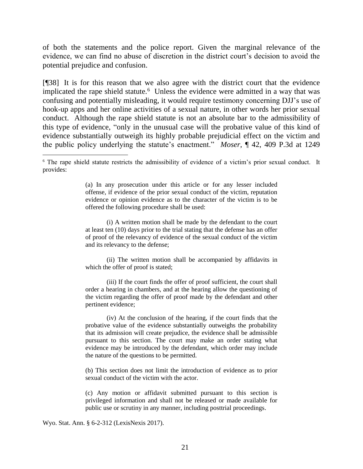of both the statements and the police report. Given the marginal relevance of the evidence, we can find no abuse of discretion in the district court's decision to avoid the potential prejudice and confusion.

[¶38] It is for this reason that we also agree with the district court that the evidence implicated the rape shield statute.<sup>6</sup> Unless the evidence were admitted in a way that was confusing and potentially misleading, it would require testimony concerning DJJ's use of hook-up apps and her online activities of a sexual nature, in other words her prior sexual conduct. Although the rape shield statute is not an absolute bar to the admissibility of this type of evidence, "only in the unusual case will the probative value of this kind of evidence substantially outweigh its highly probable prejudicial effect on the victim and the public policy underlying the statute's enactment." *Moser*, ¶ 42, 409 P.3d at 1249

(a) In any prosecution under this article or for any lesser included offense, if evidence of the prior sexual conduct of the victim, reputation evidence or opinion evidence as to the character of the victim is to be offered the following procedure shall be used:

(i) A written motion shall be made by the defendant to the court at least ten (10) days prior to the trial stating that the defense has an offer of proof of the relevancy of evidence of the sexual conduct of the victim and its relevancy to the defense;

(ii) The written motion shall be accompanied by affidavits in which the offer of proof is stated;

(iii) If the court finds the offer of proof sufficient, the court shall order a hearing in chambers, and at the hearing allow the questioning of the victim regarding the offer of proof made by the defendant and other pertinent evidence;

(iv) At the conclusion of the hearing, if the court finds that the probative value of the evidence substantially outweighs the probability that its admission will create prejudice, the evidence shall be admissible pursuant to this section. The court may make an order stating what evidence may be introduced by the defendant, which order may include the nature of the questions to be permitted.

(b) This section does not limit the introduction of evidence as to prior sexual conduct of the victim with the actor.

(c) Any motion or affidavit submitted pursuant to this section is privileged information and shall not be released or made available for public use or scrutiny in any manner, including posttrial proceedings.

Wyo. Stat. Ann. § 6-2-312 (LexisNexis 2017).

l

<sup>6</sup> The rape shield statute restricts the admissibility of evidence of a victim's prior sexual conduct. It provides: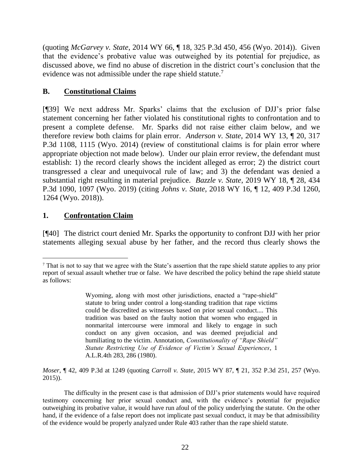(quoting *McGarvey v. State*[, 2014 WY 66, ¶ 18, 325 P.3d 450, 456 \(Wyo. 2014\)\)](http://www.westlaw.com/Link/Document/FullText?findType=Y&serNum=2033470781&pubNum=0004645&originatingDoc=Ic63ece100d1111e8a964c4b0adba4447&refType=RP&fi=co_pp_sp_4645_456&originationContext=document&vr=3.0&rs=cblt1.0&transitionType=DocumentItem&contextData=(sc.Keycite)#co_pp_sp_4645_456). Given that the evidence's probative value was outweighed by its potential for prejudice, as discussed above, we find no abuse of discretion in the district court's conclusion that the evidence was not admissible under the rape shield statute.<sup>7</sup>

# **B. Constitutional Claims**

[¶39] We next address Mr. Sparks' claims that the exclusion of DJJ's prior false statement concerning her father violated his constitutional rights to confrontation and to present a complete defense. Mr. Sparks did not raise either claim below, and we therefore review both claims for plain error. *Anderson v. State*, 2014 WY 13, ¶ 20, 317 P.3d 1108, 1115 (Wyo. 2014) (review of constitutional claims is for plain error where appropriate objection not made below). Under our plain error review, the defendant must establish: 1) the record clearly shows the incident alleged as error; 2) the district court transgressed a clear and unequivocal rule of law; and 3) the defendant was denied a substantial right resulting in material prejudice. *Bazzle v. State*, 2019 WY 18, ¶ 28, 434 P.3d 1090, 1097 (Wyo. 2019) (citing *Johns v. State*[, 2018 WY 16, ¶ 12, 409 P.3d 1260,](http://www.westlaw.com/Link/Document/FullText?findType=Y&serNum=2043787091&pubNum=0004645&originatingDoc=I8e8820c02e5311e9bed9c2929f452c46&refType=RP&fi=co_pp_sp_4645_1264&originationContext=document&vr=3.0&rs=cblt1.0&transitionType=DocumentItem&contextData=(sc.Search)#co_pp_sp_4645_1264)  [1264 \(Wyo. 2018\)\)](http://www.westlaw.com/Link/Document/FullText?findType=Y&serNum=2043787091&pubNum=0004645&originatingDoc=I8e8820c02e5311e9bed9c2929f452c46&refType=RP&fi=co_pp_sp_4645_1264&originationContext=document&vr=3.0&rs=cblt1.0&transitionType=DocumentItem&contextData=(sc.Search)#co_pp_sp_4645_1264).

# **1. Confrontation Claim**

[¶40] The district court denied Mr. Sparks the opportunity to confront DJJ with her prior statements alleging sexual abuse by her father, and the record thus clearly shows the

*Moser*, ¶ 42, 409 P.3d at 1249 (quoting *Carroll v. State*[, 2015 WY 87, ¶ 21, 352 P.3d 251, 257](http://www.westlaw.com/Link/Document/FullText?findType=Y&serNum=2036475838&pubNum=0004645&originatingDoc=Ic63ece100d1111e8a964c4b0adba4447&refType=RP&fi=co_pp_sp_4645_255&originationContext=document&vr=3.0&rs=cblt1.0&transitionType=DocumentItem&contextData=(sc.Keycite)#co_pp_sp_4645_255) (Wyo. [2015\)\)](http://www.westlaw.com/Link/Document/FullText?findType=Y&serNum=2036475838&pubNum=0004645&originatingDoc=Ic63ece100d1111e8a964c4b0adba4447&refType=RP&fi=co_pp_sp_4645_255&originationContext=document&vr=3.0&rs=cblt1.0&transitionType=DocumentItem&contextData=(sc.Keycite)#co_pp_sp_4645_255).

 $\overline{a}$ <sup>7</sup> That is not to say that we agree with the State's assertion that the rape shield statute applies to any prior report of sexual assault whether true or false. We have described the policy behind the rape shield statute as follows:

Wyoming, along with most other jurisdictions, enacted a "rape-shield" statute to bring under control a long-standing tradition that rape victims could be discredited as witnesses based on prior sexual conduct.... This tradition was based on the faulty notion that women who engaged in nonmarital intercourse were immoral and likely to engage in such conduct on any given occasion, and was deemed prejudicial and humiliating to the victim. Annotation, *[Constitutionality of "Rape Shield"](http://www.westlaw.com/Link/Document/FullText?findType=Y&serNum=1980021364&pubNum=0000849&originatingDoc=Ic63ece100d1111e8a964c4b0adba4447&refType=RP&fi=co_pp_sp_849_286&originationContext=document&vr=3.0&rs=cblt1.0&transitionType=DocumentItem&contextData=(sc.Keycite)#co_pp_sp_849_286)  [Statute Restricting Use of Evidence of Victim's Sexual Experiences](http://www.westlaw.com/Link/Document/FullText?findType=Y&serNum=1980021364&pubNum=0000849&originatingDoc=Ic63ece100d1111e8a964c4b0adba4447&refType=RP&fi=co_pp_sp_849_286&originationContext=document&vr=3.0&rs=cblt1.0&transitionType=DocumentItem&contextData=(sc.Keycite)#co_pp_sp_849_286)*, 1 [A.L.R.4th 283, 286 \(1980\).](http://www.westlaw.com/Link/Document/FullText?findType=Y&serNum=1980021364&pubNum=0000849&originatingDoc=Ic63ece100d1111e8a964c4b0adba4447&refType=RP&fi=co_pp_sp_849_286&originationContext=document&vr=3.0&rs=cblt1.0&transitionType=DocumentItem&contextData=(sc.Keycite)#co_pp_sp_849_286)

The difficulty in the present case is that admission of DJJ's prior statements would have required testimony concerning her prior sexual conduct and, with the evidence's potential for prejudice outweighing its probative value, it would have run afoul of the policy underlying the statute. On the other hand, if the evidence of a false report does not implicate past sexual conduct, it may be that admissibility of the evidence would be properly analyzed under Rule 403 rather than the rape shield statute.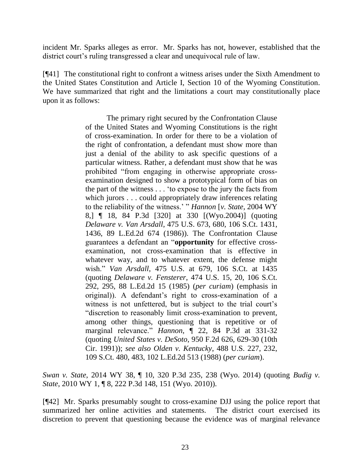incident Mr. Sparks alleges as error. Mr. Sparks has not, however, established that the district court's ruling transgressed a clear and unequivocal rule of law.

[¶41] The constitutional right to confront a witness arises under the Sixth Amendment to the United States Constitution and [Article I, Section 10 of the Wyoming Constitution.](http://www.westlaw.com/Link/Document/FullText?findType=L&pubNum=1000375&cite=WYCNART1S10&originatingDoc=I214153f7ab1111e381b8b0e9e015e69e&refType=LQ&originationContext=document&vr=3.0&rs=cblt1.0&transitionType=DocumentItem&contextData=(sc.Keycite)) We have summarized that right and the limitations a court may constitutionally place upon it as follows:

> The primary right secured by the Confrontation Clause of the United States and Wyoming Constitutions is the right of cross-examination. In order for there to be a violation of the right of confrontation, a defendant must show more than just a denial of the ability to ask specific questions of a particular witness. Rather, a defendant must show that he was prohibited "from engaging in otherwise appropriate crossexamination designed to show a prototypical form of bias on the part of the witness . . . 'to expose to the jury the facts from which jurors . . . could appropriately draw inferences relating to the reliability of the witness.' " *Hannon* [*v. State,* [2004 WY](http://www.westlaw.com/Link/Document/FullText?findType=Y&serNum=2004120874&pubNum=4645&originatingDoc=I214153f7ab1111e381b8b0e9e015e69e&refType=RP&fi=co_pp_sp_4645_330&originationContext=document&vr=3.0&rs=cblt1.0&transitionType=DocumentItem&contextData=(sc.Keycite)#co_pp_sp_4645_330)  [8,\] ¶ 18, 84 P.3d \[320\] at 330 \[\(Wyo.2004\)\]](http://www.westlaw.com/Link/Document/FullText?findType=Y&serNum=2004120874&pubNum=4645&originatingDoc=I214153f7ab1111e381b8b0e9e015e69e&refType=RP&fi=co_pp_sp_4645_330&originationContext=document&vr=3.0&rs=cblt1.0&transitionType=DocumentItem&contextData=(sc.Keycite)#co_pp_sp_4645_330) (quoting *Delaware v. Van Arsdall*[, 475 U.S. 673, 680, 106 S.Ct. 1431,](http://www.westlaw.com/Link/Document/FullText?findType=Y&serNum=1986117817&pubNum=0000708&originatingDoc=I214153f7ab1111e381b8b0e9e015e69e&refType=RP&fi=co_pp_sp_708_1436&originationContext=document&vr=3.0&rs=cblt1.0&transitionType=DocumentItem&contextData=(sc.Keycite)#co_pp_sp_708_1436)  [1436, 89 L.Ed.2d 674 \(1986\)\)](http://www.westlaw.com/Link/Document/FullText?findType=Y&serNum=1986117817&pubNum=0000708&originatingDoc=I214153f7ab1111e381b8b0e9e015e69e&refType=RP&fi=co_pp_sp_708_1436&originationContext=document&vr=3.0&rs=cblt1.0&transitionType=DocumentItem&contextData=(sc.Keycite)#co_pp_sp_708_1436). The Confrontation Clause guarantees a defendant an "**opportunity** for effective crossexamination, not cross-examination that is effective in whatever way, and to whatever extent, the defense might wish." *Van Arsdall*[, 475 U.S. at 679, 106 S.Ct. at 1435](http://www.westlaw.com/Link/Document/FullText?findType=Y&serNum=1986117817&pubNum=0000708&originatingDoc=I214153f7ab1111e381b8b0e9e015e69e&refType=RP&fi=co_pp_sp_708_1435&originationContext=document&vr=3.0&rs=cblt1.0&transitionType=DocumentItem&contextData=(sc.Keycite)#co_pp_sp_708_1435) (quoting *Delaware v. Fensterer*[, 474 U.S. 15, 20, 106 S.Ct.](http://www.westlaw.com/Link/Document/FullText?findType=Y&serNum=1985153968&pubNum=0000708&originatingDoc=I214153f7ab1111e381b8b0e9e015e69e&refType=RP&fi=co_pp_sp_708_295&originationContext=document&vr=3.0&rs=cblt1.0&transitionType=DocumentItem&contextData=(sc.Keycite)#co_pp_sp_708_295)  [292, 295, 88 L.Ed.2d 15 \(1985\)](http://www.westlaw.com/Link/Document/FullText?findType=Y&serNum=1985153968&pubNum=0000708&originatingDoc=I214153f7ab1111e381b8b0e9e015e69e&refType=RP&fi=co_pp_sp_708_295&originationContext=document&vr=3.0&rs=cblt1.0&transitionType=DocumentItem&contextData=(sc.Keycite)#co_pp_sp_708_295) (*per curiam*) (emphasis in original)). A defendant's right to cross-examination of a witness is not unfettered, but is subject to the trial court's "discretion to reasonably limit cross-examination to prevent, among other things, questioning that is repetitive or of marginal relevance." *Hannon*[, ¶ 22, 84 P.3d at 331-32](http://www.westlaw.com/Link/Document/FullText?findType=Y&serNum=2004120874&pubNum=0004645&originatingDoc=I214153f7ab1111e381b8b0e9e015e69e&refType=RP&fi=co_pp_sp_4645_331&originationContext=document&vr=3.0&rs=cblt1.0&transitionType=DocumentItem&contextData=(sc.Keycite)#co_pp_sp_4645_331) (quoting *United States v. DeSoto*[, 950 F.2d 626, 629-30 \(10th](http://www.westlaw.com/Link/Document/FullText?findType=Y&serNum=1991187796&pubNum=0000350&originatingDoc=I214153f7ab1111e381b8b0e9e015e69e&refType=RP&fi=co_pp_sp_350_629&originationContext=document&vr=3.0&rs=cblt1.0&transitionType=DocumentItem&contextData=(sc.Keycite)#co_pp_sp_350_629)  Cir. [1991\)\)](http://www.westlaw.com/Link/Document/FullText?findType=Y&serNum=1991187796&pubNum=0000350&originatingDoc=I214153f7ab1111e381b8b0e9e015e69e&refType=RP&fi=co_pp_sp_350_629&originationContext=document&vr=3.0&rs=cblt1.0&transitionType=DocumentItem&contextData=(sc.Keycite)#co_pp_sp_350_629); *see also Olden v. Kentucky*[, 488 U.S. 227, 232,](http://www.westlaw.com/Link/Document/FullText?findType=Y&serNum=1988158602&pubNum=0000708&originatingDoc=I214153f7ab1111e381b8b0e9e015e69e&refType=RP&fi=co_pp_sp_708_483&originationContext=document&vr=3.0&rs=cblt1.0&transitionType=DocumentItem&contextData=(sc.Keycite)#co_pp_sp_708_483)  [109 S.Ct. 480, 483, 102 L.Ed.2d 513 \(1988\)](http://www.westlaw.com/Link/Document/FullText?findType=Y&serNum=1988158602&pubNum=0000708&originatingDoc=I214153f7ab1111e381b8b0e9e015e69e&refType=RP&fi=co_pp_sp_708_483&originationContext=document&vr=3.0&rs=cblt1.0&transitionType=DocumentItem&contextData=(sc.Keycite)#co_pp_sp_708_483) (*per curiam*).

*Swan v. State*, 2014 WY 38, ¶ 10, 320 P.3d 235, 238 (Wyo. 2014) (quoting *[Budig v.](http://www.westlaw.com/Link/Document/FullText?findType=Y&serNum=2020967467&pubNum=0004645&originatingDoc=I214153f7ab1111e381b8b0e9e015e69e&refType=RP&fi=co_pp_sp_4645_151&originationContext=document&vr=3.0&rs=cblt1.0&transitionType=DocumentItem&contextData=(sc.Keycite)#co_pp_sp_4645_151)  State*[, 2010 WY 1, ¶ 8, 222 P.3d 148, 151 \(Wyo.](http://www.westlaw.com/Link/Document/FullText?findType=Y&serNum=2020967467&pubNum=0004645&originatingDoc=I214153f7ab1111e381b8b0e9e015e69e&refType=RP&fi=co_pp_sp_4645_151&originationContext=document&vr=3.0&rs=cblt1.0&transitionType=DocumentItem&contextData=(sc.Keycite)#co_pp_sp_4645_151) 2010)).

[¶42] Mr. Sparks presumably sought to cross-examine DJJ using the police report that summarized her online activities and statements. The district court exercised its discretion to prevent that questioning because the evidence was of marginal relevance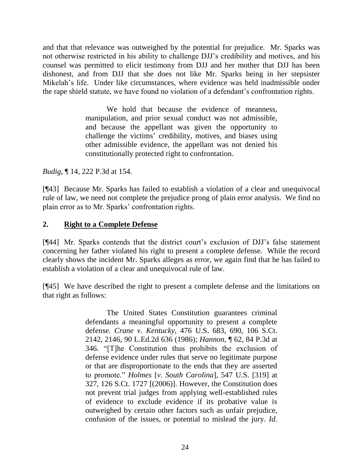and that that relevance was outweighed by the potential for prejudice. Mr. Sparks was not otherwise restricted in his ability to challenge DJJ's credibility and motives, and his counsel was permitted to elicit testimony from DJJ and her mother that DJJ has been dishonest, and from DJJ that she does not like Mr. Sparks being in her stepsister Mikelah's life. Under like circumstances, where evidence was held inadmissible under the rape shield statute, we have found no violation of a defendant's confrontation rights.

> We hold that because the evidence of meanness, manipulation, and prior sexual conduct was not admissible, and because the appellant was given the opportunity to challenge the victims' credibility, motives, and biases using other admissible evidence, the appellant was not denied his constitutionally protected right to confrontation.

*Budig*, ¶ 14, 222 P.3d at 154.

[¶43] Because Mr. Sparks has failed to establish a violation of a clear and unequivocal rule of law, we need not complete the prejudice prong of plain error analysis. We find no plain error as to Mr. Sparks' confrontation rights.

## **2. Right to a Complete Defense**

[¶44] Mr. Sparks contends that the district court's exclusion of DJJ's false statement concerning her father violated his right to present a complete defense. While the record clearly shows the incident Mr. Sparks alleges as error, we again find that he has failed to establish a violation of a clear and unequivocal rule of law.

[¶45] We have described the right to present a complete defense and the limitations on that right as follows:

> The United States Constitution guarantees criminal defendants a meaningful opportunity to present a complete defense. *Crane v. Kentucky*[, 476 U.S. 683, 690, 106 S.Ct.](http://www.westlaw.com/Link/Document/FullText?findType=Y&serNum=1986129783&pubNum=0000708&originatingDoc=Ia715888ce15c11ddb6a3a099756c05b7&refType=RP&fi=co_pp_sp_708_2146&originationContext=document&vr=3.0&rs=cblt1.0&transitionType=DocumentItem&contextData=(sc.Keycite)#co_pp_sp_708_2146)  [2142, 2146, 90 L.Ed.2d 636 \(1986\);](http://www.westlaw.com/Link/Document/FullText?findType=Y&serNum=1986129783&pubNum=0000708&originatingDoc=Ia715888ce15c11ddb6a3a099756c05b7&refType=RP&fi=co_pp_sp_708_2146&originationContext=document&vr=3.0&rs=cblt1.0&transitionType=DocumentItem&contextData=(sc.Keycite)#co_pp_sp_708_2146) *Hannon*[, ¶ 62, 84 P.3d at](http://www.westlaw.com/Link/Document/FullText?findType=Y&serNum=2004120874&pubNum=4645&originatingDoc=Ia715888ce15c11ddb6a3a099756c05b7&refType=RP&fi=co_pp_sp_4645_346&originationContext=document&vr=3.0&rs=cblt1.0&transitionType=DocumentItem&contextData=(sc.Keycite)#co_pp_sp_4645_346)  [346.](http://www.westlaw.com/Link/Document/FullText?findType=Y&serNum=2004120874&pubNum=4645&originatingDoc=Ia715888ce15c11ddb6a3a099756c05b7&refType=RP&fi=co_pp_sp_4645_346&originationContext=document&vr=3.0&rs=cblt1.0&transitionType=DocumentItem&contextData=(sc.Keycite)#co_pp_sp_4645_346) "[T]he Constitution thus prohibits the exclusion of defense evidence under rules that serve no legitimate purpose or that are disproportionate to the ends that they are asserted to promote." *Holmes* [*v. South Carolina*[\], 547 U.S. \[319\] at](http://www.westlaw.com/Link/Document/FullText?findType=Y&serNum=2009061828&pubNum=708&originatingDoc=Ia715888ce15c11ddb6a3a099756c05b7&refType=RP&originationContext=document&vr=3.0&rs=cblt1.0&transitionType=DocumentItem&contextData=(sc.Keycite))  [327, 126 S.Ct. 1727](http://www.westlaw.com/Link/Document/FullText?findType=Y&serNum=2009061828&pubNum=708&originatingDoc=Ia715888ce15c11ddb6a3a099756c05b7&refType=RP&originationContext=document&vr=3.0&rs=cblt1.0&transitionType=DocumentItem&contextData=(sc.Keycite)) [(2006)]. However, the Constitution does not prevent trial judges from applying well-established rules of evidence to exclude evidence if its probative value is outweighed by certain other factors such as unfair prejudice, confusion of the issues, or potential to mislead the jury. *Id*.